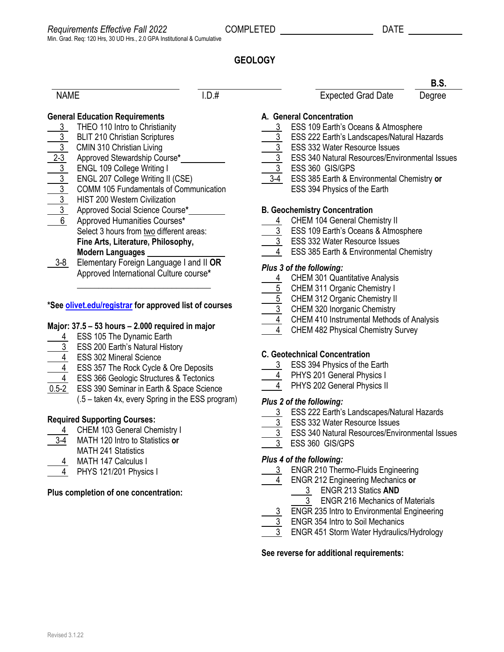**B.S.**

# **GEOLOGY**

#### NAME I.D.# I.D. Expected Grad Date Degree

# **General Education Requirements**

- 3 THEO 110 Intro to Christianity 3 BLIT 210 Christian Scriptures
- 
- 3 CMIN 310 Christian Living
- 2-3 Approved Stewardship Course**\*** 3 ENGL 109 College Writing I
- 3 ENGL 207 College Writing II (CSE)
- 3 COMM 105 Fundamentals of Communication
- **HIST 200 Western Civilization**
- 3 Approved Social Science Course**\***
- 6 Approved Humanities Courses**\*** Select 3 hours from two different areas: **Fine Arts, Literature, Philosophy, Modern Languages**
- 3-8 Elementary Foreign Language I and II **OR** Approved International Culture course**\***

## **\*Se[e olivet.edu/registrar](https://www.olivet.edu/registrar) for approved list of courses**

\_\_\_\_\_\_\_\_\_\_\_\_\_\_\_\_\_\_\_\_\_\_\_\_\_\_\_\_\_\_\_

## **Major: 37.5 – 53 hours – 2.000 required in major**

- 4 ESS 105 The Dynamic Earth
- 3 ESS 200 Earth's Natural History
- 4 ESS 302 Mineral Science
- 4 ESS 357 The Rock Cycle & Ore Deposits
- 4 ESS 366 Geologic Structures & Tectonics
- 0.5-2 ESS 390 Seminar in Earth & Space Science
	- (.5 taken 4x, every Spring in the ESS program)

## **Required Supporting Courses:**

- 4 CHEM 103 General Chemistry I
- 3-4 MATH 120 Intro to Statistics **or** MATH 241 Statistics
- 4 MATH 147 Calculus I
- 4 PHYS 121/201 Physics I

## **Plus completion of one concentration:**

# **A. General Concentration**

- 3 ESS 109 Earth's Oceans & Atmosphere
- 3 ESS 222 Earth's Landscapes/Natural Hazards
- $\overline{3}$  ESS 332 Water Resource Issues
- 3 ESS 340 Natural Resources/Environmental Issues
- 3 ESS 360 GIS/GPS
- 3-4 ESS 385 Earth & Environmental Chemistry **or** ESS 394 Physics of the Earth

#### **B. Geochemistry Concentration**

- 4 CHEM 104 General Chemistry II
- 3 ESS 109 Earth's Oceans & Atmosphere
- 3 ESS 332 Water Resource Issues
- 4 ESS 385 Earth & Environmental Chemistry

### *Plus 3 of the following:*

- 4 CHEM 301 Quantitative Analysis
- 5 CHEM 311 Organic Chemistry I
- 5 CHEM 312 Organic Chemistry II
- 3 CHEM 320 Inorganic Chemistry
- 4 CHEM 410 Instrumental Methods of Analysis
- 4 CHEM 482 Physical Chemistry Survey

#### **C. Geotechnical Concentration**

- 3 ESS 394 Physics of the Earth
- 4 PHYS 201 General Physics I
- 4 PHYS 202 General Physics II

#### *Plus 2 of the following:*

- 3 ESS 222 Earth's Landscapes/Natural Hazards
- 3 ESS 332 Water Resource Issues
- 3 ESS 340 Natural Resources/Environmental Issues
- 3 ESS 360 GIS/GPS

#### *Plus 4 of the following:*

- 3 ENGR 210 Thermo-Fluids Engineering
	- 4 ENGR 212 Engineering Mechanics **or**
		- 3 ENGR 213 Statics **AND**
	- 3 ENGR 216 Mechanics of Materials 3 ENGR 235 Intro to Environmental Engineering
- 3 ENGR 354 Intro to Soil Mechanics
- 
- 3 ENGR 451 Storm Water Hydraulics/Hydrology

**See reverse for additional requirements:**